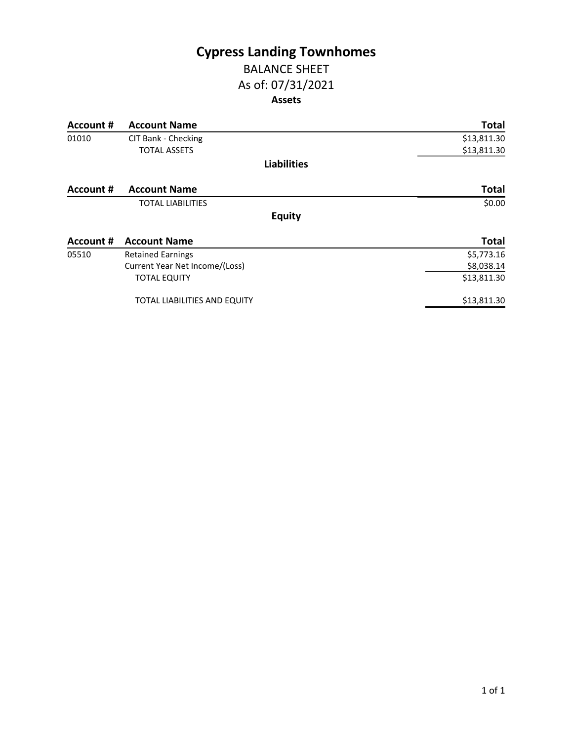# **Cypress Landing Townhomes** BALANCE SHEET

# As of: 07/31/2021

### **Assets**

| Account #        | <b>Account Name</b>                 | <b>Total</b> |
|------------------|-------------------------------------|--------------|
| 01010            | CIT Bank - Checking                 | \$13,811.30  |
|                  | <b>TOTAL ASSETS</b>                 | \$13,811.30  |
|                  | <b>Liabilities</b>                  |              |
| Account #        | <b>Account Name</b>                 | <b>Total</b> |
|                  | <b>TOTAL LIABILITIES</b>            | \$0.00       |
|                  | <b>Equity</b>                       |              |
| <b>Account #</b> | <b>Account Name</b>                 | <b>Total</b> |
| 05510            | <b>Retained Earnings</b>            | \$5,773.16   |
|                  | Current Year Net Income/(Loss)      | \$8,038.14   |
|                  | <b>TOTAL EQUITY</b>                 | \$13,811.30  |
|                  | <b>TOTAL LIABILITIES AND EQUITY</b> | \$13,811.30  |